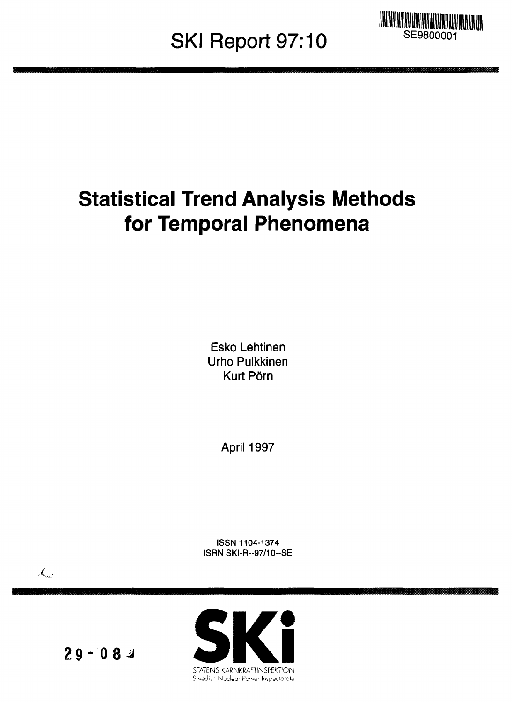# **SKI Report 97:10**



# **Statistical Trend Analysis Methods for Temporal Phenomena**

**Esko Lehtinen Urho Pulkkinen Kurt Pom**

**April 1997**

ISSN 1104-1374 ISRNSKI-R--97/10--SE

 $29 - 084$ 

*X .*

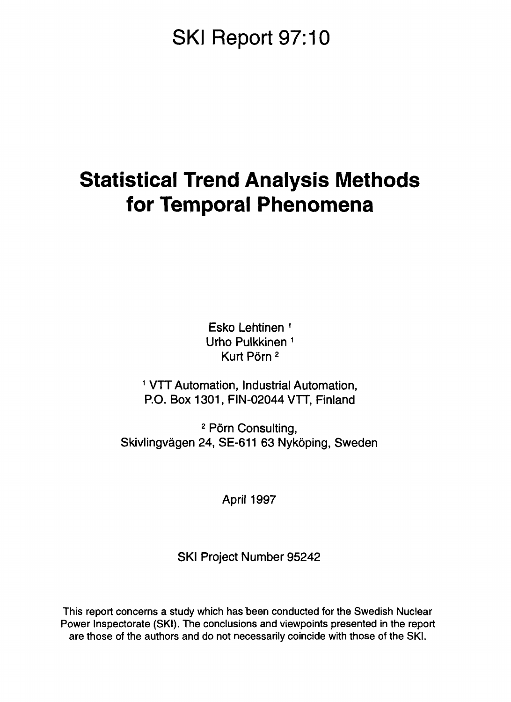## SKI Report 97:10

## **Statistical Trend Analysis Methods for Temporal Phenomena**

**Esko Lehtinen 1 Urho Pulkkinen 1 Kurt Pom<sup>2</sup>**

**1 VTT Automation, Industrial Automation, P.O. Box 1301, FIN-02044 VTT, Finland**

**2 Porn Consulting, Skivlingvagen 24, SE-611 63 Nykoping, Sweden**

**April 1997**

**SKI Project Number 95242**

This report concerns a study which has been conducted for the Swedish Nuclear Power Inspectorate (SKI). The conclusions and viewpoints presented in the report are those of the authors and do not necessarily coincide with those of the SKI.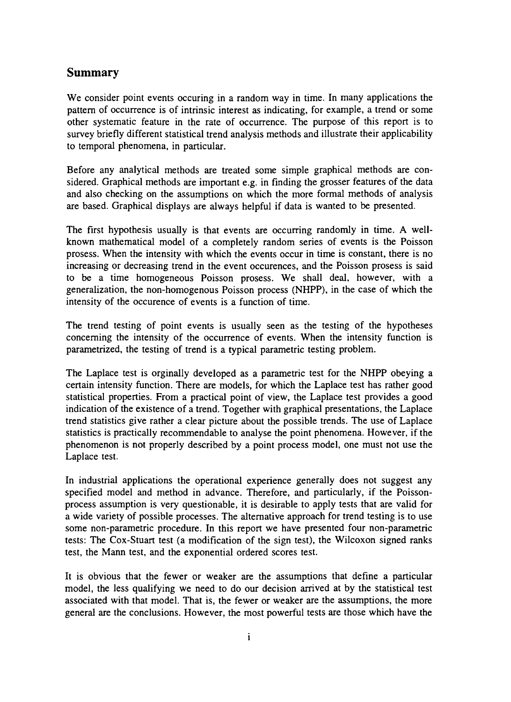## Summary

We consider point events occuring in a random way in time. In many applications the pattern of occurrence is of intrinsic interest as indicating, for example, a trend or some other systematic feature in the rate of occurrence. The purpose of this report is to survey briefly different statistical trend analysis methods and illustrate their applicability to temporal phenomena, in particular.

Before any analytical methods are treated some simple graphical methods are considered. Graphical methods are important e.g. in finding the grosser features of the data and also checking on the assumptions on which the more formal methods of analysis are based. Graphical displays are always helpful if data is wanted to be presented.

The first hypothesis usually is that events are occurring randomly in time. A wellknown mathematical model of a completely random series of events is the Poisson prosess. When the intensity with which the events occur in time is constant, there is no increasing or decreasing trend in the event occurences, and the Poisson prosess is said to be a time homogeneous Poisson prosess. We shall deal, however, with a generalization, the non-homogenous Poisson process (NHPP), in the case of which the intensity of the occurence of events is a function of time.

The trend testing of point events is usually seen as the testing of the hypotheses concerning the intensity of the occurrence of events. When the intensity function is parametrized, the testing of trend is a typical parametric testing problem.

The Laplace test is orginally developed as a parametric test for the NHPP obeying a certain intensity function. There are models, for which the Laplace test has rather good statistical properties. From a practical point of view, the Laplace test provides a good indication of the existence of a trend. Together with graphical presentations, the Laplace trend statistics give rather a clear picture about the possible trends. The use of Laplace statistics is practically recommendable to analyse the point phenomena. However, if the phenomenon is not properly described by a point process model, one must not use the Laplace test.

In industrial applications the operational experience generally does not suggest any specified model and method in advance. Therefore, and particularly, if the Poissonprocess assumption is very questionable, it is desirable to apply tests that are valid for a wide variety of possible processes. The alternative approach for trend testing is to use some non-parametric procedure. In this report we have presented four non-parametric tests: The Cox-Stuart test (a modification of the sign test), the Wilcoxon signed ranks test, the Mann test, and the exponential ordered scores test.

It is obvious that the fewer or weaker are the assumptions that define a particular model, the less qualifying we need to do our decision arrived at by the statistical test associated with that model. That is, the fewer or weaker are the assumptions, the more general are the conclusions. However, the most powerful tests are those which have the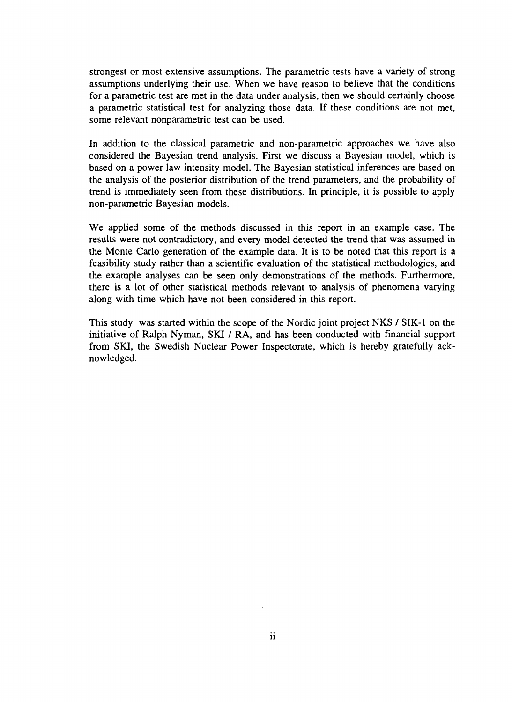strongest or most extensive assumptions. The parametric tests have a variety of strong assumptions underlying their use. When we have reason to believe that the conditions for a parametric test are met in the data under analysis, then we should certainly choose a parametric statistical test for analyzing those data. If these conditions are not met, some relevant nonparametric test can be used.

In addition to the classical parametric and non-parametric approaches we have also considered the Bayesian trend analysis. First we discuss a Bayesian model, which is based on a power law intensity model. The Bayesian statistical inferences are based on the analysis of the posterior distribution of the trend parameters, and the probability of trend is immediately seen from these distributions. In principle, it is possible to apply non-parametric Bayesian models.

We applied some of the methods discussed in this report in an example case. The results were not contradictory, and every model detected the trend that was assumed in the Monte Carlo generation of the example data. It is to be noted that this report is a feasibility study rather than a scientific evaluation of the statistical methodologies, and the example analyses can be seen only demonstrations of the methods. Furthermore, there is a lot of other statistical methods relevant to analysis of phenomena varying along with time which have not been considered in this report.

This study was started within the scope of the Nordic joint project NKS / SIK-1 on the initiative of Ralph Nyman, SKI / RA, and has been conducted with financial support from SKI, the Swedish Nuclear Power Inspectorate, which is hereby gratefully acknowledged.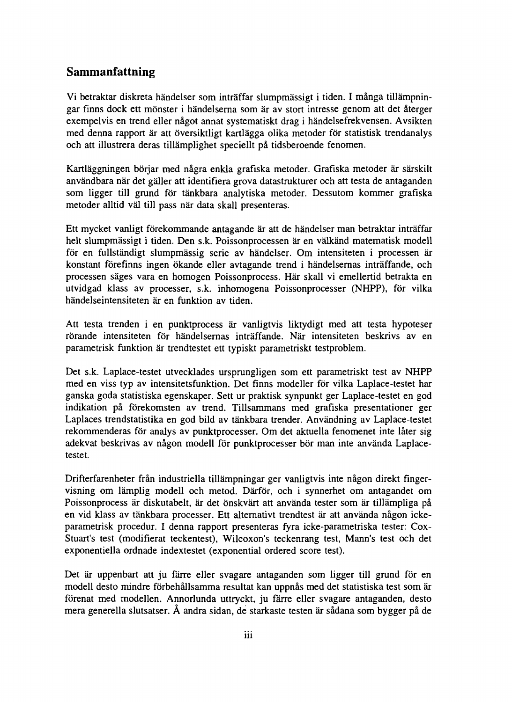## Sammanfattning

Vi betraktar diskreta händelser som inträffar slumpmässigt i tiden. I många tillämpningar finns dock ett mönster i händelserna som är av stort intresse genom att det återger exempelvis en trend eller något annat systematiskt drag i händelsefrekvensen. Avsikten med denna rapport är att översiktligt kartlägga olika metoder för statistisk trendanalys och att illustrera deras tillämplighet speciellt på tidsberoende fenomen.

Kartläggningen börjar med några enkla grafiska metoder. Grafiska metoder är särskilt användbara när det gäller att identifiera grova datastrukturer och att testa de antaganden som ligger till grund för tänkbara analytiska metoder. Dessutom kommer grafiska metoder alltid väl till pass när data skall presenteras.

Ett mycket vanligt förekommande antagande är att de händelser man betraktar inträffar helt slumpmässigt i tiden. Den s.k. Poissonprocessen är en välkänd matematisk modell för en fullständigt slumpmässig serie av händelser. Om intensiteten i processen är konstant förefinns ingen ökande eller avtagande trend i händelsernas inträffande, och processen säges vara en homogen Poissonprocess. Här skall vi emellertid betrakta en utvidgad klass av processer, s.k. inhomogena Poissonprocesser (NHPP), för vilka händelseintensiteten är en funktion av tiden.

Att testa trenden i en punktprocess är vanligtvis liktydigt med att testa hypoteser rörande intensiteten för händelsernas inträffande. När intensiteten beskrivs av en parametrisk funktion är trendtestet ett typiskt parametriskt testproblem.

Det s.k. Laplace-testet utvecklades ursprungligen som ett parametriskt test av NHPP med en viss typ av intensitetsfunktion. Det finns modeller för vilka Laplace-testet har ganska goda statistiska egenskaper. Sett ur praktisk synpunkt ger Laplace-testet en god indikation på förekomsten av trend. Tillsammans med grafiska presentationer ger Laplaces trendstatistika en god bild av tänkbara trender. Användning av Laplace-testet rekommenderas för analys av punktprocesser. Om det aktuella fenomenet inte låter sig adekvat beskrivas av någon modell för punktprocesser bör man inte använda Laplacetestet.

Drifterfarenheter från industriella tillämpningar ger vanligtvis inte någon direkt fingervisning om lämplig modell och metod. Därför, och i synnerhet om antagandet om Poissonprocess är diskutabelt, är det önskvärt att använda tester som är tillämpliga på en vid klass av tänkbara processer. Ett alternativt trendtest är att använda någon ickeparametrisk procedur. I denna rapport presenteras fyra icke-parametriska tester: Cox-Stuart's test (modifierat teckentest), Wilcoxon's teckenrang test, Mann's test och det exponentiella ordnade indextestet (exponential ordered score test).

Det är uppenbart att ju färre eller svagare antaganden som ligger till grund för en modell desto mindre förbehållsamma resultat kan uppnås med det statistiska test som är förenat med modellen. Annorlunda uttryckt, ju färre eller svagare antaganden, desto mera generella slutsatser. Å andra sidan, de starkaste testen är sådana som bygger på de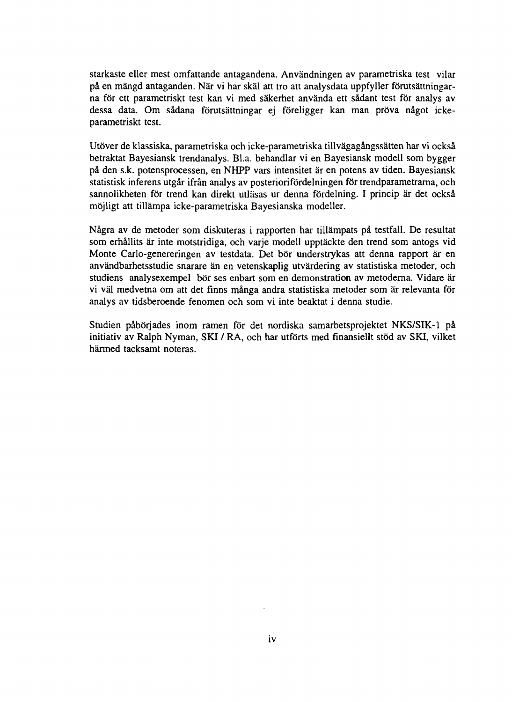starkaste eller mest omfattande antagandena. Användningen av parametriska test vilar på en mängd antaganden. När vi har skäl att tro att analysdata uppfyller förutsättningarna för ett parametriskt test kan vi med säkerhet använda ett sådant test för analys av dessa data. Om sådana förutsättningar ej föreligger kan man pröva något ickeparametriskt test.

Utöver de klassiska, parametriska och icke-parametriska tillvägagångssätten har vi också betraktat Bayesiansk trendanalys. Bl.a. behandlar vi en Bayesiansk modell som bygger på den s.k. potensprocessen, en NHPP vars intensitet är en potens av tiden. Bayesiansk statistisk inferens utgår ifrån analys av posteriorifördelningen för trendparametrarna, och sannolikheten för trend kan direkt utläsas ur denna fördelning. I princip är det också möjligt att tillämpa icke-parametriska Bayesianska modeller.

Några av de metoder som diskuteras i rapporten har tillämpats på testfall. De resultat som erhållits är inte motstridiga, och varje modell upptäckte den trend som antogs vid Monte Carlo-genereringen av testdata. Det bör understrykas att denna rapport är en användbarhetsstudie snarare än en vetenskaplig utvärdering av statistiska metoder, och studiens analysexempel bör ses enbart som en demonstration av metoderna. Vidare är vi väl medvetna om att det finns många andra statistiska metoder som är relevanta för analys av tidsberoende fenomen och som vi inte beaktat i denna studie.

Studien påbörjades inom ramen för det nordiska samarbetsprojektet NKS/SIK-1 på initiativ av Ralph Nyman, SKI / RA, och har utförts med finansiellt stöd av SKI, vilket härmed tacksamt noteras.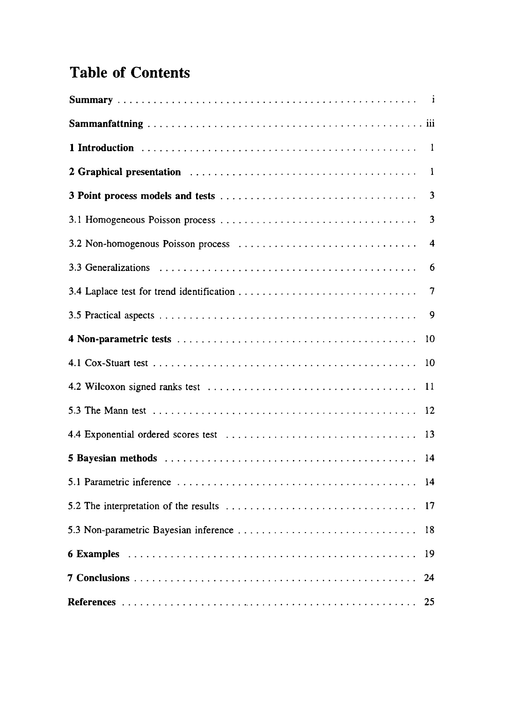## **Table of Contents**

| 3                       |
|-------------------------|
| $\overline{\mathbf{3}}$ |
| $\overline{4}$          |
| 6                       |
| $\tau$                  |
| -9                      |
| 10                      |
|                         |
|                         |
|                         |
|                         |
| 14                      |
|                         |
| 17                      |
| 18                      |
| 19                      |
| 24                      |
| 25                      |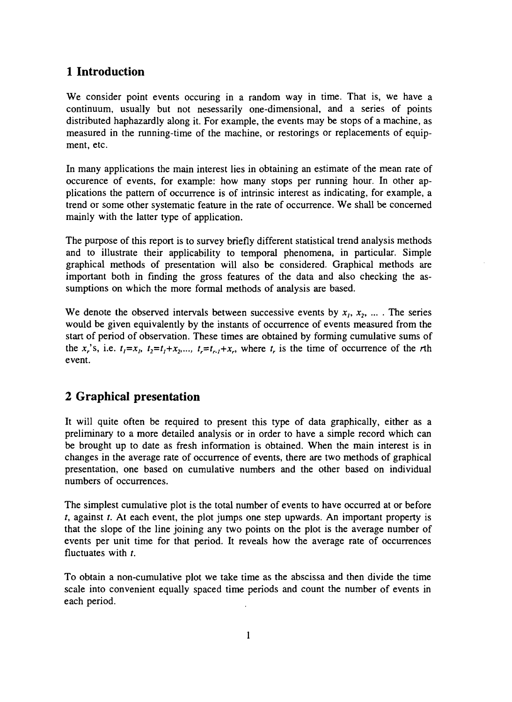## **1 Introduction**

We consider point events occuring in a random way in time. That is, we have a continuum, usually but not nesessarily one-dimensional, and a series of points distributed haphazardly along it. For example, the events may be stops of a machine, as measured in the running-time of the machine, or restorings or replacements of equipment, etc.

In many applications the main interest lies in obtaining an estimate of the mean rate of occurence of events, for example: how many stops per running hour. In other applications the pattern of occurrence is of intrinsic interest as indicating, for example, a trend or some other systematic feature in the rate of occurrence. We shall be concerned mainly with the latter type of application.

The purpose of this report is to survey briefly different statistical trend analysis methods and to illustrate their applicability to temporal phenomena, in particular. Simple graphical methods of presentation will also be considered. Graphical methods are important both in finding the gross features of the data and also checking the assumptions on which the more formal methods of analysis are based.

We denote the observed intervals between successive events by  $x_1, x_2, \ldots$ . The series would be given equivalently by the instants of occurrence of events measured from the start of period of observation. These times are obtained by forming cumulative sums of the x<sup>2</sup>,<sup>2</sup> s, i.e.  $t_1 = x_1, t_2 = t_1 + x_2, \ldots, t_r = t_{r-1} + x_r$ , where  $t_r$  is the time of occurrence of the rth event.

## **2 Graphical presentation**

It will quite often be required to present this type of data graphically, either as a preliminary to a more detailed analysis or in order to have a simple record which can be brought up to date as fresh information is obtained. When the main interest is in changes in the average rate of occurrence of events, there are two methods of graphical presentation, one based on cumulative numbers and the other based on individual numbers of occurrences.

The simplest cumulative plot is the total number of events to have occurred at or before /, against *t.* At each event, the plot jumps one step upwards. An important property is that the slope of the line joining any two points on the plot is the average number of events per unit time for that period. It reveals how the average rate of occurrences fluctuates with *t.*

To obtain a non-cumulative plot we take time as the abscissa and then divide the time scale into convenient equally spaced time periods and count the number of events in each period.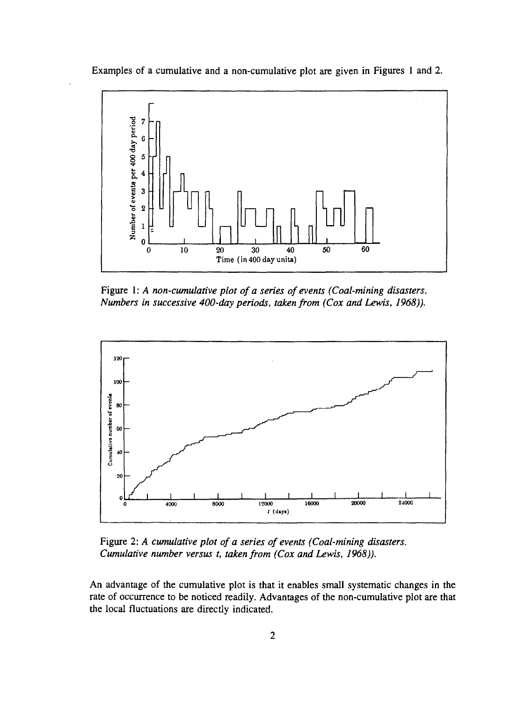Examples of a cumulative and a non-cumulative plot are given in Figures 1 and 2.



Figure 1: *A non-cumulative plot of a series of events (Coal-mining disasters. Numbers in successive 400-day periods, taken from (Cox and Lewis, 1968)).*



Figure 2: *A cumulative plot of a series of events (Coal-mining disasters. Cumulative number versus t, taken from (Cox and Lewis, 1968)).*

An advantage of the cumulative plot is that it enables small systematic changes in the rate of occurrence to be noticed readily. Advantages of the non-cumulative plot are that the local fluctuations are directly indicated.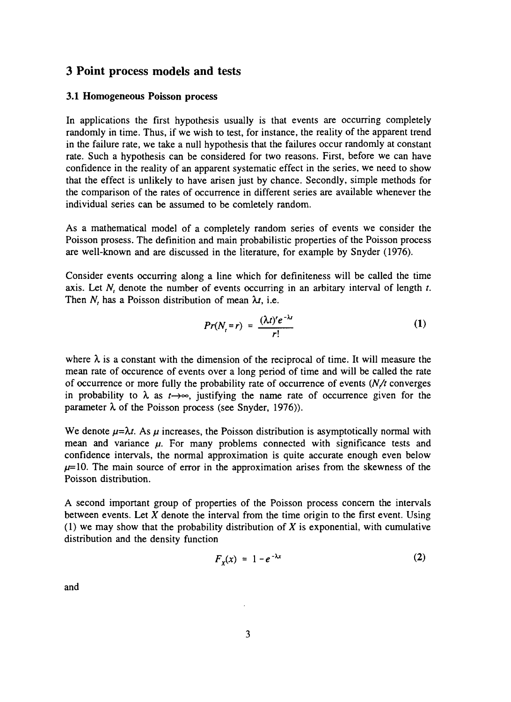### 3 Point process models and tests

#### **3.1 Homogeneous Poisson process**

In applications the first hypothesis usually is that events are occurring completely randomly in time. Thus, if we wish to test, for instance, the reality of the apparent trend in the failure rate, we take a null hypothesis that the failures occur randomly at constant rate. Such a hypothesis can be considered for two reasons. First, before we can have confidence in the reality of an apparent systematic effect in the series, we need to show that the effect is unlikely to have arisen just by chance. Secondly, simple methods for the comparison of the rates of occurrence in different series are available whenever the individual series can be assumed to be comletely random.

As a mathematical model of a completely random series of events we consider the Poisson prosess. The definition and main probabilistic properties of the Poisson process are well-known and are discussed in the literature, for example by Snyder (1976).

Consider events occurring along a line which for definiteness will be called the time axis. Let *N,* denote the number of events occurring in an arbitary interval of length *t.* Then  $N_t$ , has a Poisson distribution of mean  $\lambda t$ , i.e.

$$
Pr(N_{t} = r) = \frac{(\lambda t)^{r} e^{-\lambda t}}{r!}
$$
 (1)

where  $\lambda$  is a constant with the dimension of the reciprocal of time. It will measure the mean rate of occurence of events over a long period of time and will be called the rate of occurrence or more fully the probability rate of occurrence of events *(N/t* converges in probability to  $\lambda$  as  $t \rightarrow \infty$ , justifying the name rate of occurrence given for the parameter  $\lambda$  of the Poisson process (see Snyder, 1976)).

We denote  $\mu = \lambda t$ . As  $\mu$  increases, the Poisson distribution is asymptotically normal with mean and variance  $\mu$ . For many problems connected with significance tests and confidence intervals, the normal approximation is quite accurate enough even below  $f = \mu = 10$ . The main source of error in the approximation arises from the skewness of the Poisson distribution.

A second important group of properties of the Poisson process concern the intervals between events. Let *X* denote the interval from the time origin to the first event. Using (1) we may show that the probability distribution of *X* is exponential, with cumulative distribution and the density function

$$
F_x(x) = 1 - e^{-\lambda x}
$$
 (2)

and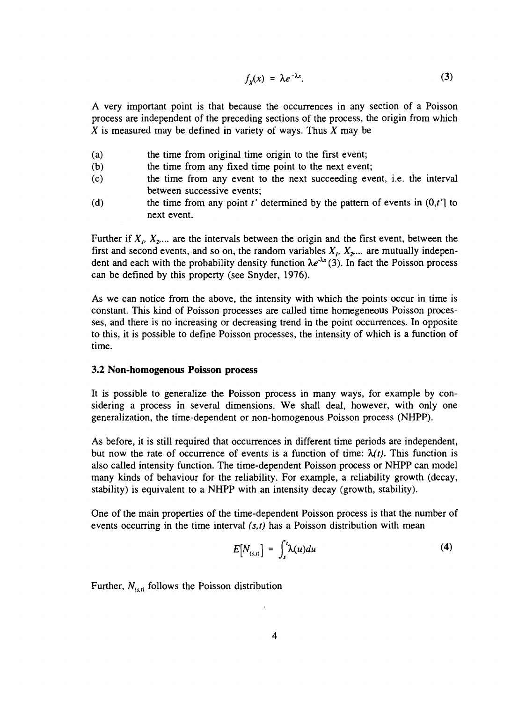$$
f_{\chi}(x) = \lambda e^{-\lambda x}.\tag{3}
$$

A very important point is that because the occurrences in any section of a Poisson process are independent of the preceding sections of the process, the origin from which *X* is measured may be defined in variety of ways. Thus *X* may be

- (a) the time from original time origin to the first event;
- (b) the time from any fixed time point to the next event;
- (c) the time from any event to the next succeeding event, i.e. the interval between successive events;
- (d) the time from any point  $t'$  determined by the pattern of events in  $(0,t']$  to next event.

Further if  $X_i$ ,  $X_2$ .... are the intervals between the origin and the first event, between the first and second events, and so on, the random variables  $X_i$ ,  $X_2$ ,... are mutually independent and each with the probability density function  $\lambda e^{\lambda x}$  (3). In fact the Poisson process can be defined by this property (see Snyder, 1976).

As we can notice from the above, the intensity with which the points occur in time is constant. This kind of Poisson processes are called time homegeneous Poisson processes, and there is no increasing or decreasing trend in the point occurrences. In opposite to this, it is possible to define Poisson processes, the intensity of which is a function of time.

#### **3.2 Non-homogenous Poisson process**

It is possible to generalize the Poisson process in many ways, for example by considering a process in several dimensions. We shall deal, however, with only one generalization, the time-dependent or non-homogenous Poisson process (NHPP).

As before, it is still required that occurrences in different time periods are independent, but now the rate of occurrence of events is a function of time:  $\lambda(t)$ . This function is also called intensity function. The time-dependent Poisson process or NHPP can model many kinds of behaviour for the reliability. For example, a reliability growth (decay, stability) is equivalent to a NHPP with an intensity decay (growth, stability).

One of the main properties of the time-dependent Poisson process is that the number of events occurring in the time interval *(s,t)* has a Poisson distribution with mean

$$
E[N_{(s,t)}] = \int_s^t \lambda(u) du
$$
 (4)

Further,  $N_{(s,t)}$  follows the Poisson distribution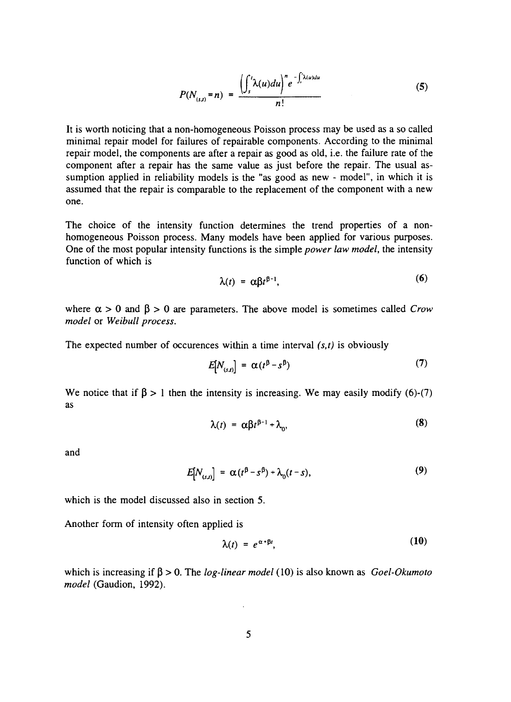$$
P(N_{(s,t)}=n) = \frac{\left(\int_s^t \lambda(u) du\right)^n e^{-\int_s^t \lambda(u) du}}{n!}
$$
 (5)

It is worth noticing that a non-homogeneous Poisson process may be used as a so called minimal repair model for failures of repairable components. According to the minimal repair model, the components are after a repair as good as old, i.e. the failure rate of the component after a repair has the same value as just before the repair. The usual assumption applied in reliability models is the "as good as new - model", in which it is assumed that the repair is comparable to the replacement of the component with a new one.

The choice of the intensity function determines the trend properties of a nonhomogeneous Poisson process. Many models have been applied for various purposes. One of the most popular intensity functions is the simple *power law model,* the intensity function of which is

$$
\lambda(t) = \alpha \beta t^{\beta-1}, \tag{6}
$$

where  $\alpha > 0$  and  $\beta > 0$  are parameters. The above model is sometimes called *Crow model* or *Weibull process.*

The expected number of occurences within a time interval *(s,t)* is obviously

$$
E[N_{(s,t)}] = \alpha(t^{\beta} - s^{\beta})
$$
\n(7)

We notice that if  $\beta > 1$  then the intensity is increasing. We may easily modify (6)-(7) as

$$
\lambda(t) = \alpha \beta t^{\beta - 1} + \lambda_0, \tag{8}
$$

and

$$
E[N_{(s,t)}] = \alpha (t^{\beta} - s^{\beta}) + \lambda_0 (t - s),
$$
\n(9)

which is the model discussed also in section 5.

Another form of intensity often applied is

$$
\lambda(t) = e^{\alpha + \beta t}, \qquad (10)
$$

which is increasing if  $\beta > 0$ . The *log-linear model* (10) is also known as *Goel-Okumoto model* (Gaudion, 1992).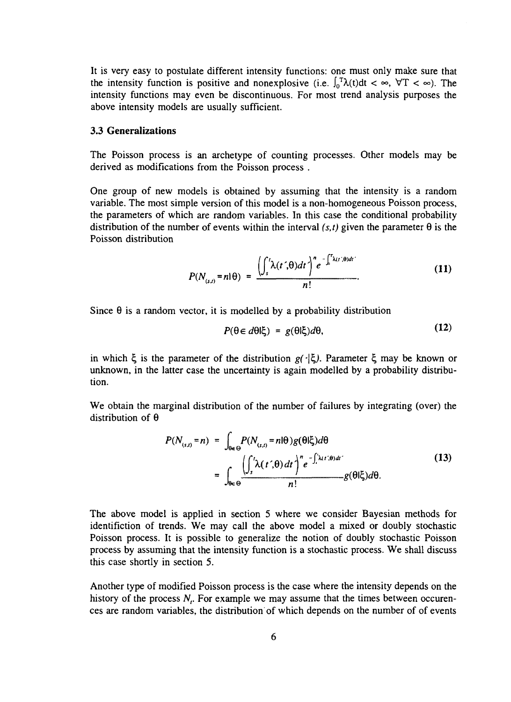It is very easy to postulate different intensity functions: one must only make sure that the intensity function is positive and nonexplosive (i.e.  $\int_0^T \lambda(t) dt < \infty$ ,  $\forall T < \infty$ ). The intensity functions may even be discontinuous. For most trend analysis purposes the above intensity models are usually sufficient.

#### **3.3 Generalizations**

The Poisson process is an archetype of counting processes. Other models may be derived as modifications from the Poisson process .

One group of new models is obtained by assuming that the intensity is a random variable. The most simple version of this model is a non-homogeneous Poisson process, the parameters of which are random variables. In this case the conditional probability distribution of the number of events within the interval  $(s, t)$  given the parameter  $\theta$  is the Poisson distribution

$$
P(N_{(s,t)}=n|\theta) = \frac{\left(\int_{s}^{t} \lambda(t^{\prime},\theta)dt\right)^{n} e^{-\int_{0}^{t} \lambda(t^{\prime},\theta)dt^{\prime}}}{n!}.
$$
 (11)

Since  $\theta$  is a random vector, it is modelled by a probability distribution

$$
P(\theta \in d\theta|\xi) = g(\theta|\xi)d\theta, \qquad (12)
$$

in which *t,* is the parameter of the distribution *g( •]£,)•* Parameter £ may be known or unknown, in the latter case the uncertainty is again modelled by a probability distribution.

We obtain the marginal distribution of the number of failures by integrating (over) the distribution of  $\theta$ 

$$
P(N_{(s,t)} = n) = \int_{\theta \in \Theta} P(N_{(s,t)} = n | \theta) g(\theta | \xi) d\theta
$$
  
= 
$$
\int_{\theta \in \Theta} \frac{\left( \int_s^t \lambda(t', \theta) dt' \right)^n e^{-\int_s^t \lambda(t', \theta) dt'}}{n!} g(\theta | \xi) d\theta.
$$
 (13)

The above model is applied in section 5 where we consider Bayesian methods for identifiction of trends. We may call the above model a mixed or doubly stochastic Poisson process. It is possible to generalize the notion of doubly stochastic Poisson process by assuming that the intensity function is a stochastic process. We shall discuss this case shortly in section 5.

Another type of modified Poisson process is the case where the intensity depends on the history of the process *N<sup>r</sup>* For example we may assume that the times between occurences are random variables, the distribution of which depends on the number of of events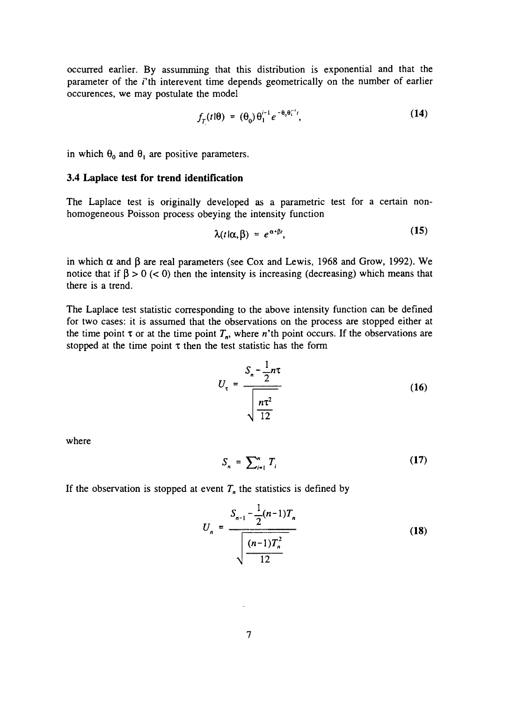occurred earlier. By assumming that this distribution is exponential and that the parameter of the  $i$ 'th interevent time depends geometrically on the number of earlier occurences, we may postulate the model

$$
f_T(t|\theta) = (\theta_0) \theta_1^{i-1} e^{-\theta_0 \theta_1^{i-1}}, \qquad (14)
$$

in which  $\theta_0$  and  $\theta_1$  are positive parameters.

#### **3.4 Laplace test for trend identification**

The Laplace test is originally developed as a parametric test for a certain nonhomogeneous Poisson process obeying the intensity function

$$
\lambda(t\,|\alpha,\beta) = e^{\alpha+\beta t},\tag{15}
$$

in which  $\alpha$  and  $\beta$  are real parameters (see Cox and Lewis, 1968 and Grow, 1992). We notice that if  $\beta > 0$  (< 0) then the intensity is increasing (decreasing) which means that there is a trend.

The Laplace test statistic corresponding to the above intensity function can be defined for two cases: it is assumed that the observations on the process are stopped either at the time point  $\tau$  or at the time point  $T_n$ , where n'th point occurs. If the observations are stopped at the time point  $\tau$  then the test statistic has the form

$$
U_{\tau} = \frac{S_n - \frac{1}{2}n\tau}{\sqrt{\frac{n\tau^2}{12}}}
$$
 (16)

where

$$
S_n = \sum_{i=1}^n T_i \tag{17}
$$

If the observation is stopped at event  $T_n$  the statistics is defined by

$$
U_n = \frac{S_{n-1} - \frac{1}{2}(n-1)T_n}{\sqrt{\frac{(n-1)T_n^2}{12}}}
$$
(18)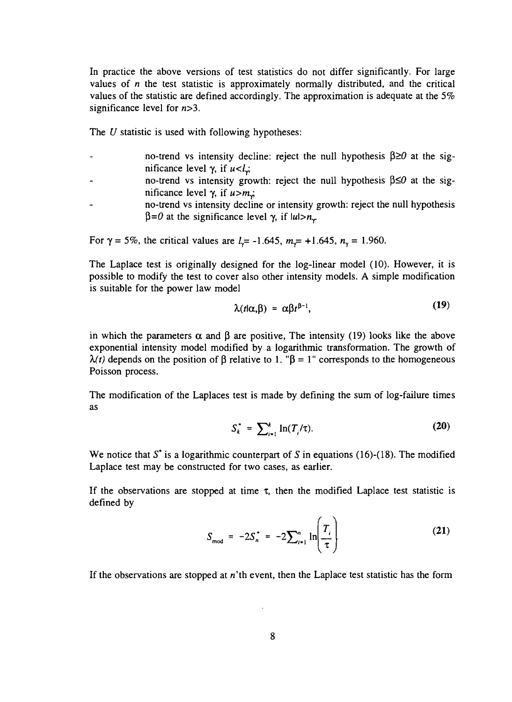In practice the above versions of test statistics do not differ significantly. For large values of *n* the test statistic is approximately normally distributed, and the critical values of the statistic are defined accordingly. The approximation is adequate at the 5% significance level for  $n>3$ .

The *U* statistic is used with following hypotheses:

- no-trend vs intensity decline: reject the null hypothesis  $\beta \ge 0$  at the sig- $\overline{a}$ nificance level *y,* if *u<l^*
- no-trend vs intensity growth: reject the null hypothesis  $\beta \leq 0$  at the significance level  $\gamma$ , if  $u > m_{\gamma}$ ;
- no-trend vs intensity decline or intensity growth: reject the null hypothesis  $\beta$ =0 at the significance level  $\gamma$ , if  $|u| > n$ <sub>r</sub>

For  $\gamma = 5\%$ , the critical values are  $l = -1.645$ ,  $m = +1.645$ ,  $n_v = 1.960$ .

The Laplace test is originally designed for the log-linear model (10). However, it is possible to modify the test to cover also other intensity models. A simple modification is suitable for the power law model

$$
\lambda(t\alpha,\beta) = \alpha\beta t^{\beta-1}, \qquad (19)
$$

in which the parameters  $\alpha$  and  $\beta$  are positive, The intensity (19) looks like the above exponential intensity model modified by a logarithmic transformation. The growth of  $\lambda(t)$  depends on the position of  $\beta$  relative to 1. " $\beta = 1$ " corresponds to the homogeneous Poisson process.

The modification of the Laplaces test is made by defining the sum of log-failure times as

$$
S_k^* = \sum_{i=1}^k \ln(T_i/\tau). \tag{20}
$$

We notice that S<sup>\*</sup> is a logarithmic counterpart of S in equations (16)-(18). The modified Laplace test may be constructed for two cases, as earlier.

If the observations are stopped at time  $\tau$ , then the modified Laplace test statistic is defined by

$$
S_{\text{mod}} = -2S_n^* = -2\sum_{i=1}^n \ln\left(\frac{T_i}{\tau}\right)
$$
 (21)

If the observations are stopped at  $n$ 'th event, then the Laplace test statistic has the form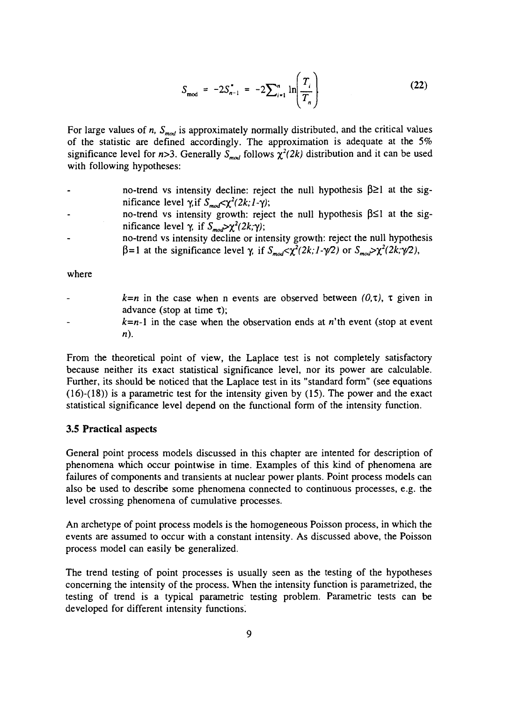$$
S_{\text{mod}} = -2S_{n-1}^* = -2\sum_{i=1}^n \ln\left(\frac{T_i}{T_n}\right)
$$
 (22)

For large values of *n*,  $S<sub>mod</sub>$  is approximately normally distributed, and the critical values of the statistic are defined accordingly. The approximation is adequate at the 5% significance level for  $n > 3$ . Generally  $S_{mod}$  follows  $\chi^2(2k)$  distribution and it can be used with following hypotheses:

- no-trend vs intensity decline: reject the null hypothesis  $\beta \ge 1$  at the significance level γ, if  $S_{mod} < \chi^2(2k; 1-\gamma)$ ;
- no-trend vs intensity growth: reject the null hypothesis  $\beta \le 1$  at the significance level *y,* if *Smoj>x<sup>2</sup> (2k;y);*
- no-trend vs intensity decline or intensity growth: reject the null hypothesis  $\beta = 1$  at the significance level  $\gamma$ , if  $S_{mod} < \chi^2(2k; 1-\gamma/2)$  or  $S_{mod} > \chi^2(2k; \gamma/2)$ ,

where

- $k=n$  in the case when n events are observed between  $(0, \tau)$ ,  $\tau$  given in advance (stop at time  $\tau$ );
- $k=n-1$  in the case when the observation ends at n'th event (stop at event *n).*

From the theoretical point of view, the Laplace test is not completely satisfactory because neither its exact statistical significance level, nor its power are calculable. Further, its should be noticed that the Laplace test in its "standard form" (see equations (16)-(18)) is a parametric test for the intensity given by (15). The power and the exact statistical significance level depend on the functional form of the intensity function.

#### **3.5 Practical aspects**

General point process models discussed in this chapter are intented for description of phenomena which occur pointwise in time. Examples of this kind of phenomena are failures of components and transients at nuclear power plants. Point process models can also be used to describe some phenomena connected to continuous processes, e.g. the level crossing phenomena of cumulative processes.

An archetype of point process models is the homogeneous Poisson process, in which the events are assumed to occur with a constant intensity. As discussed above, the Poisson process model can easily be generalized.

The trend testing of point processes is usually seen as the testing of the hypotheses concerning the intensity of the process. When the intensity function is parametrized, the testing of trend is a typical parametric testing problem. Parametric tests can be developed for different intensity functions.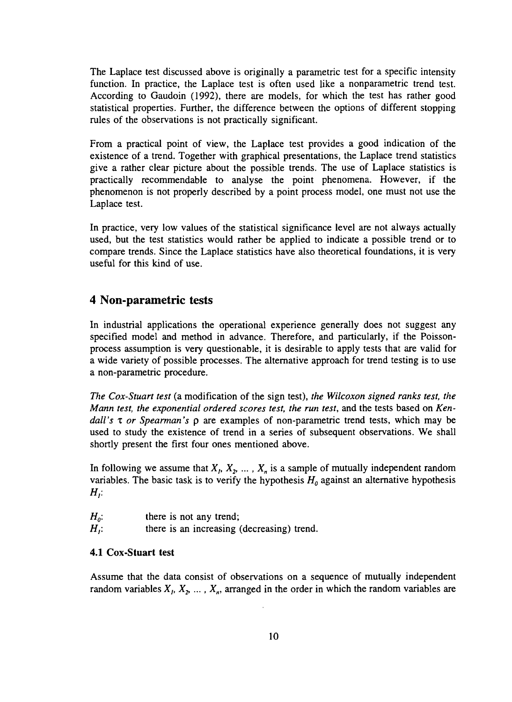The Laplace test discussed above is originally a parametric test for a specific intensity function. In practice, the Laplace test is often used like a nonparametric trend test. According to Gaudoin (1992), there are models, for which the test has rather good statistical properties. Further, the difference between the options of different stopping rules of the observations is not practically significant.

From a practical point of view, the Laplace test provides a good indication of the existence of a trend. Together with graphical presentations, the Laplace trend statistics give a rather clear picture about the possible trends. The use of Laplace statistics is practically recommendable to analyse the point phenomena. However, if the phenomenon is not properly described by a point process model, one must not use the Laplace test.

In practice, very low values of the statistical significance level are not always actually used, but the test statistics would rather be applied to indicate a possible trend or to compare trends. Since the Laplace statistics have also theoretical foundations, it is very useful for this kind of use.

### 4 Non-parametric tests

In industrial applications the operational experience generally does not suggest any specified model and method in advance. Therefore, and particularly, if the Poissonprocess assumption is very questionable, it is desirable to apply tests that are valid for a wide variety of possible processes. The alternative approach for trend testing is to use a non-parametric procedure.

*The Cox-Stuart test* (a modification of the sign test), *the Wilcoxon signed ranks test, the Mann test, the exponential ordered scores test, the run test,* and the tests based on *Kendall's*  $\tau$  *or Spearman's*  $\rho$  are examples of non-parametric trend tests, which may be used to study the existence of trend in a series of subsequent observations. We shall shortly present the first four ones mentioned above.

In following we assume that  $X_i$ ,  $X_2$ , ...,  $X_n$  is a sample of mutually independent random variables. The basic task is to verify the hypothesis *Ho* against an alternative hypothesis *H,:*

| $H_o$ : |  |  | there is not any trend; |
|---------|--|--|-------------------------|
|         |  |  |                         |

*H<sub>i</sub>*: there is an increasing (decreasing) trend.

#### **4.1 Cox-Stuart test**

Assume that the data consist of observations on a sequence of mutually independent random variables  $X_i, X_2, \ldots, X_n$ , arranged in the order in which the random variables are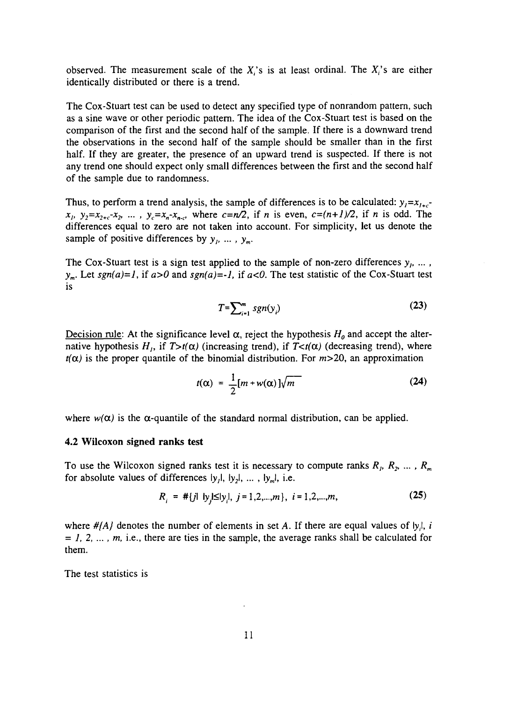observed. The measurement scale of the  $X_i$ 's is at least ordinal. The  $X_i$ 's are either identically distributed or there is a trend.

The Cox-Stuart test can be used to detect any specified type of nonrandom pattern, such as a sine wave or other periodic pattern. The idea of the Cox-Stuart test is based on the comparison of the first and the second half of the sample. If there is a downward trend the observations in the second half of the sample should be smaller than in the first half. If they are greater, the presence of an upward trend is suspected. If there is not any trend one should expect only small differences between the first and the second half of the sample due to randomness.

Thus, to perform a trend analysis, the sample of differences is to be calculated:  $y_i = x_{i+c}$ .  $x_1, y_2 = x_2, -x_2, \ldots$ ,  $y_c = x_n - x_{n-c}$ , where  $c = n/2$ , if *n* is even,  $c = (n+1)/2$ , if *n* is odd. The differences equal to zero are not taken into account. For simplicity, let us denote the sample of positive differences by  $y_1$ , ...,  $y_m$ .

The Cox-Stuart test is a sign test applied to the sample of non-zero differences *y,, ... , ym.* Let *sgn(a)=l,* if *a>0* and *sgn(a)=-l,* if *a<0.* The test statistic of the Cox-Stuart test is

$$
T = \sum_{i=1}^{m} sgn(y_i) \tag{23}
$$

Decision rule: At the significance level  $\alpha$ , reject the hypothesis  $H_0$  and accept the alternative hypothesis  $H_i$ , if  $T>t(\alpha)$  (increasing trend), if  $T>t(\alpha)$  (decreasing trend), where  $t(\alpha)$  is the proper quantile of the binomial distribution. For  $m>20$ , an approximation

$$
t(\alpha) = \frac{1}{2} [m + w(\alpha)] \sqrt{m}
$$
 (24)

where  $w(\alpha)$  is the  $\alpha$ -quantile of the standard normal distribution, can be applied.

#### **4.2 Wilcoxon signed ranks test**

To use the Wilcoxon signed ranks test it is necessary to compute ranks  $R_1, R_2, \ldots, R_m$ for absolute values of differences  $\{y_i\}, \{y_2\}, \ldots, \{y_m\}, \text{ i.e. }$ 

$$
R_i = #\{j \mid \{y_j \le |y_j|, j = 1, 2, \dots, m\}, i = 1, 2, \dots, m,
$$
\n(25)

where  $#$ / $A$ *}* denotes the number of elements in set A. If there are equal values of  $|y_i|$ , *i = 1, 2, ... , m,* i.e., there are ties in the sample, the average ranks shall be calculated for them.

The test statistics is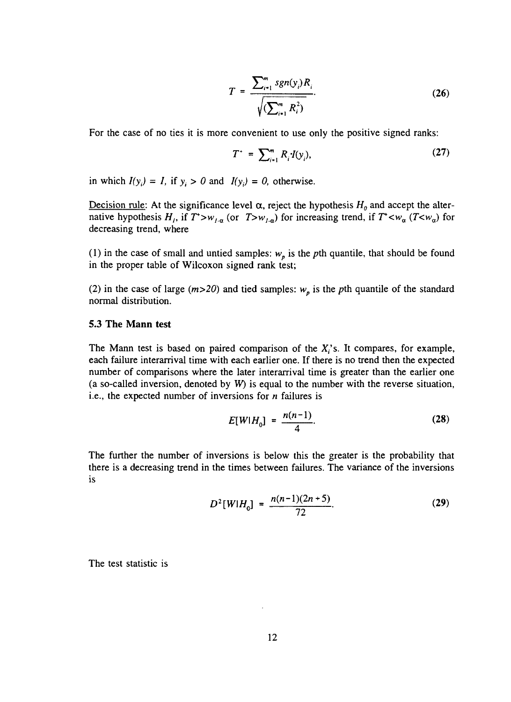$$
T = \frac{\sum_{i=1}^{m} sgn(y_i)R_i}{\sqrt{(\sum_{i=1}^{m} R_i^2)}}.
$$
 (26)

For the case of no ties it is more convenient to use only the positive signed ranks:

$$
T^* = \sum_{i=1}^m R_i I(y_i), \qquad (27)
$$

in which  $I(y_i) = I$ , if  $y_i > 0$  and  $I(y_i) = 0$ , otherwise.

Decision rule: At the significance level  $\alpha$ , reject the hypothesis  $H_0$  and accept the alternative hypothesis  $H_i$ , if  $T^* > w_{i,\alpha}$  (or  $T > w_{i,\alpha}$ ) for increasing trend, if  $T^* < w_{\alpha}$  ( $T < w_{\alpha}$ ) for decreasing trend, where

(1) in the case of small and untied samples:  $w_p$  is the pth quantile, that should be found in the proper table of Wilcoxon signed rank test;

(2) in the case of large *(m>20)* and tied samples: *wp* is the *pth* quantile of the standard normal distribution.

#### **5.3 The Mann test**

The Mann test is based on paired comparison of the  $X_i$ 's. It compares, for example, each failure interarrival time with each earlier one. If there is no trend then the expected number of comparisons where the later interarrival time is greater than the earlier one (a so-called inversion, denoted by *W)* is equal to the number with the reverse situation, i.e., the expected number of inversions for *n* failures is

$$
E[W|H_0] = \frac{n(n-1)}{4}.
$$
 (28)

The further the number of inversions is below this the greater is the probability that there is a decreasing trend in the times between failures. The variance of the inversions is

$$
D^{2}[W|H_{0}] = \frac{n(n-1)(2n+5)}{72}.
$$
 (29)

The test statistic is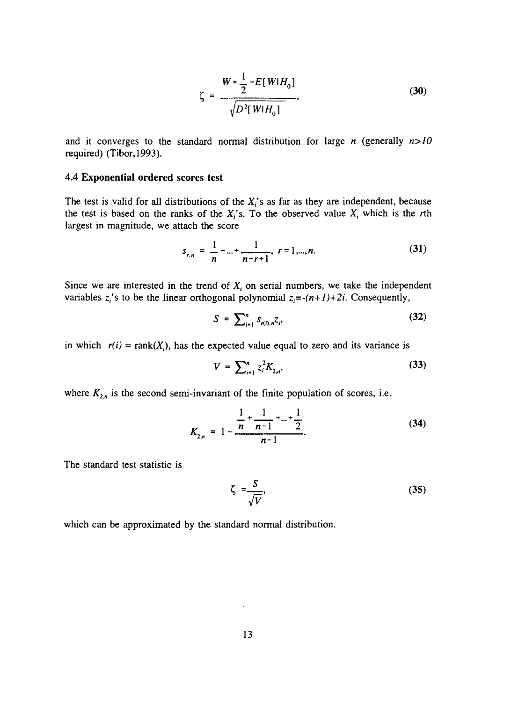$$
\zeta = \frac{W + \frac{1}{2} - E[W|H_0]}{\sqrt{D^2[W|H_0]}},
$$
\n(30)

and it converges to the standard normal distribution for large *n* (generally *n>10* required) (Tibor,1993).

#### **4.4 Exponential ordered scores test**

The test is valid for all distributions of the  $X_i$ 's as far as they are independent, because the test is based on the ranks of the  $X_i$ 's. To the observed value  $X_i$  which is the rth largest in magnitude, we attach the score

$$
s_{r,n} = \frac{1}{n} + ... + \frac{1}{n-r+1}, \ r = 1,...,n.
$$
 (31)

Since we are interested in the trend of  $X_i$  on serial numbers, we take the independent variables  $z_i$ 's to be the linear orthogonal polynomial  $z_i = -(n+1)+2i$ . Consequently,

$$
S = \sum_{i=1}^{n} s_{r(i),n} Z_i,
$$
 (32)

in which  $r(i) = \text{rank}(X_i)$ , has the expected value equal to zero and its variance is

$$
V = \sum_{i=1}^{n} z_i^2 K_{2,n}, \tag{33}
$$

where  $K_{2n}$  is the second semi-invariant of the finite population of scores, i.e.

$$
K_{2n} = 1 - \frac{\frac{1}{n} + \frac{1}{n-1} + \dots + \frac{1}{2}}{n-1}.
$$
 (34)

The standard test statistic is

$$
\zeta = \frac{S}{\sqrt{V}},\tag{35}
$$

which can be approximated by the standard normal distribution.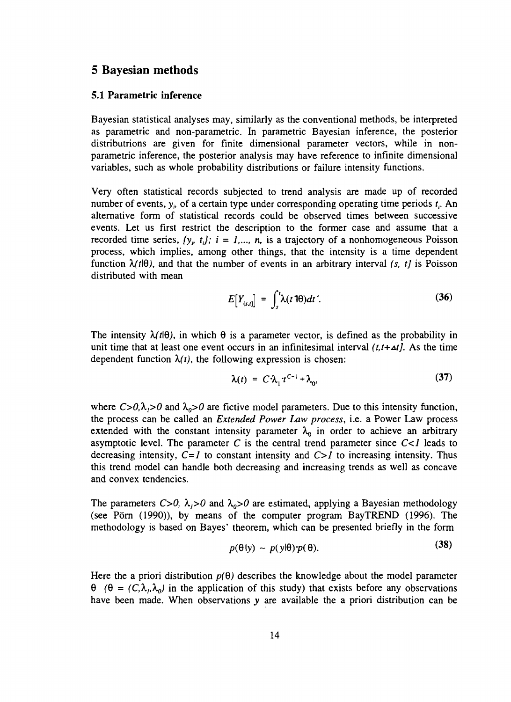#### 5 Bayesian methods

#### **5.1 Parametric inference**

Bayesian statistical analyses may, similarly as the conventional methods, be interpreted as parametric and non-parametric. In parametric Bayesian inference, the posterior distributrions are given for finite dimensional parameter vectors, while in nonparametric inference, the posterior analysis may have reference to infinite dimensional variables, such as whole probability distributions or failure intensity functions.

Very often statistical records subjected to trend analysis are made up of recorded number of events,  $y_i$  of a certain type under corresponding operating time periods  $t_i$ . An alternative form of statistical records could be observed times between successive events. Let us first restrict the description to the former case and assume that a recorded time series,  $\{y_i, t_i\}$ ;  $i = 1,..., n$ , is a trajectory of a nonhomogeneous Poisson process, which implies, among other things, that the intensity is a time dependent function  $\lambda(t|\theta)$ , and that the number of events in an arbitrary interval (s, t) is Poisson distributed with mean

$$
E[Y_{(s,t)}] = \int_s^t \lambda(t \, 1\theta) dt'.
$$
 (36)

The intensity  $\lambda(t|\theta)$ , in which  $\theta$  is a parameter vector, is defined as the probability in unit time that at least one event occurs in an infinitesimal interval  $(t, t+\Delta t)$ . As the time dependent function  $\lambda(t)$ , the following expression is chosen:

$$
\lambda(t) = C \lambda_1 t^{C-1} + \lambda_0, \tag{37}
$$

where  $C > 0, \lambda_1 > 0$  and  $\lambda_0 > 0$  are fictive model parameters. Due to this intensity function, the process can be called an *Extended Power Law process,* i.e. a Power Law process extended with the constant intensity parameter  $\lambda_0$  in order to achieve an arbitrary asymptotic level. The parameter C is the central trend parameter since *C<1* leads to decreasing intensity, *C=l* to constant intensity and *C>1* to increasing intensity. Thus this trend model can handle both decreasing and increasing trends as well as concave and convex tendencies.

The parameters  $C>0$ ,  $\lambda_1>0$  and  $\lambda_0>0$  are estimated, applying a Bayesian methodology (see Pom (1990)), by means of the computer program BayTREND (1996). The methodology is based on Bayes' theorem, which can be presented briefly in the form

$$
p(\theta|y) \sim p(y|\theta) \cdot p(\theta). \tag{38}
$$

Here the a priori distribution  $p(\theta)$  describes the knowledge about the model parameter  $\theta$  ( $\theta = (C, \lambda_i, \lambda_o)$ ) in the application of this study) that exists before any observations have been made. When observations *y* are available the a priori distribution can be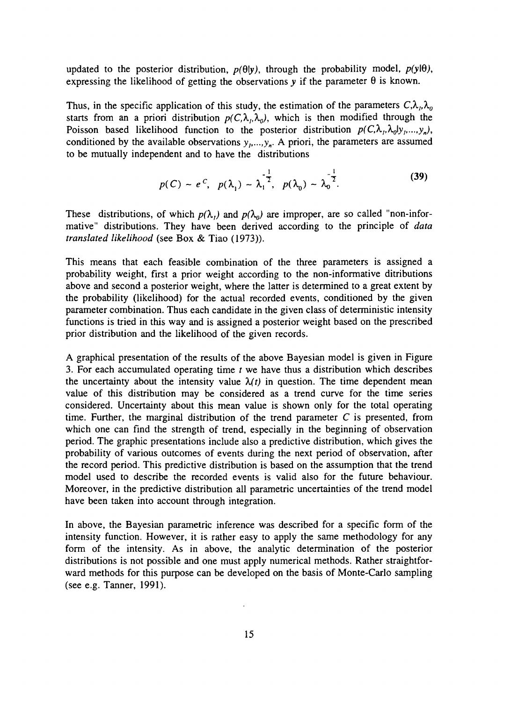updated to the posterior distribution,  $p(\theta|y)$ , through the probability model,  $p(y|\theta)$ , expressing the likelihood of getting the observations  $y$  if the parameter  $\theta$  is known.

Thus, in the specific application of this study, the estimation of the parameters  $C, \lambda_1, \lambda_2$ starts from an a priori distribution  $p(C, \lambda_1, \lambda_0)$ , which is then modified through the Poisson based likelihood function to the posterior distribution  $p(C, \lambda_1, \lambda_0 | y_1, \ldots, y_n)$ , conditioned by the available observations  $y_1, \ldots, y_n$ . A priori, the parameters are assumed to be mutually independent and to have the distributions

$$
p(C) \sim e^C, \quad p(\lambda_1) \sim \lambda_1^{-\frac{1}{2}}, \quad p(\lambda_0) \sim \lambda_0^{-\frac{1}{2}}.
$$
 (39)

These distributions, of which  $p(\lambda_i)$  and  $p(\lambda_0)$  are improper, are so called "non-informative" distributions. They have been derived according to the principle of *data translated likelihood* (see Box & Tiao (1973)).

This means that each feasible combination of the three parameters is assigned a probability weight, first a prior weight according to the non-informative ditributions above and second a posterior weight, where the latter is determined to a great extent by the probability (likelihood) for the actual recorded events, conditioned by the given parameter combination. Thus each candidate in the given class of deterministic intensity functions is tried in this way and is assigned a posterior weight based on the prescribed prior distribution and the likelihood of the given records.

A graphical presentation of the results of the above Bayesian model is given in Figure 3. For each accumulated operating time *t* we have thus a distribution which describes the uncertainty about the intensity value  $\lambda(t)$  in question. The time dependent mean value of this distribution may be considered as a trend curve for the time series considered. Uncertainty about this mean value is shown only for the total operating time. Further, the marginal distribution of the trend parameter *C* is presented, from which one can find the strength of trend, especially in the beginning of observation period. The graphic presentations include also a predictive distribution, which gives the probability of various outcomes of events during the next period of observation, after the record period. This predictive distribution is based on the assumption that the trend model used to describe the recorded events is valid also for the future behaviour. Moreover, in the predictive distribution all parametric uncertainties of the trend model have been taken into account through integration.

In above, the Bayesian parametric inference was described for a specific form of the intensity function. However, it is rather easy to apply the same methodology for any form of the intensity. As in above, the analytic determination of the posterior distributions is not possible and one must apply numerical methods. Rather straightforward methods for this purpose can be developed on the basis of Monte-Carlo sampling (see e.g. Tanner, 1991).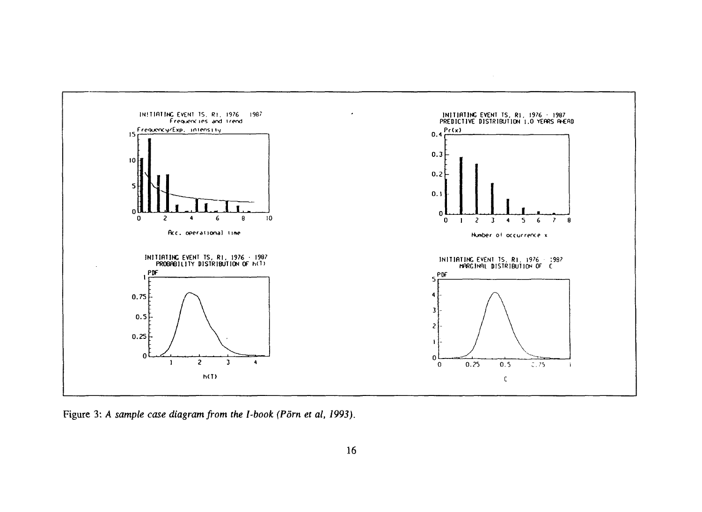

Figure 3: A sample case diagram from the *I-book (Pörn et al, 1993)*.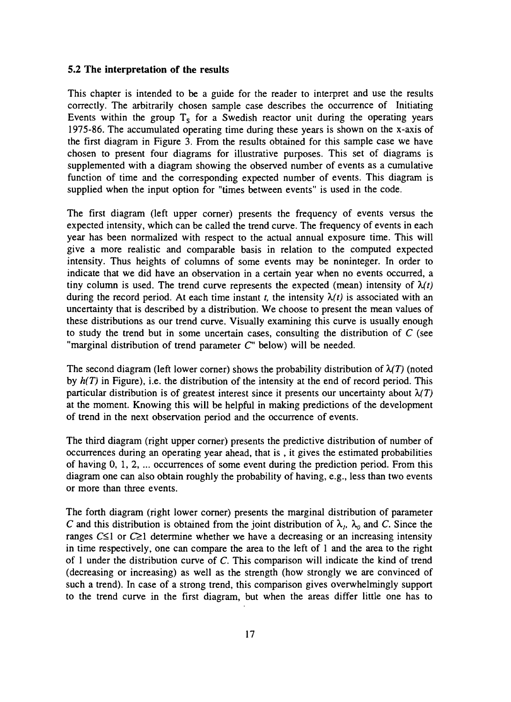#### **5.2 The interpretation of the results**

This chapter is intended to be a guide for the reader to interpret and use the results correctly. The arbitrarily chosen sample case describes the occurrence of Initiating Events within the group  $T_s$  for a Swedish reactor unit during the operating years 1975-86. The accumulated operating time during these years is shown on the x-axis of the first diagram in Figure 3. From the results obtained for this sample case we have chosen to present four diagrams for illustrative purposes. This set of diagrams is supplemented with a diagram showing the observed number of events as a cumulative function of time and the corresponding expected number of events. This diagram is supplied when the input option for "times between events" is used in the code.

The first diagram (left upper comer) presents the frequency of events versus the expected intensity, which can be called the trend curve. The frequency of events in each year has been normalized with respect to the actual annual exposure time. This will give a more realistic and comparable basis in relation to the computed expected intensity. Thus heights of columns of some events may be noninteger. In order to indicate that we did have an observation in a certain year when no events occurred, a tiny column is used. The trend curve represents the expected (mean) intensity of  $\lambda(t)$ during the record period. At each time instant *t*, the intensity  $\lambda(t)$  is associated with an uncertainty that is described by a distribution. We choose to present the mean values of these distributions as our trend curve. Visually examining this curve is usually enough to study the trend but in some uncertain cases, consulting the distribution of *C* (see "marginal distribution of trend parameter  $C$ " below) will be needed.

The second diagram (left lower corner) shows the probability distribution of  $\lambda(T)$  (noted by  $h(T)$  in Figure), i.e. the distribution of the intensity at the end of record period. This particular distribution is of greatest interest since it presents our uncertainty about  $\lambda(T)$ at the moment. Knowing this will be helpful in making predictions of the development of trend in the next observation period and the occurrence of events.

The third diagram (right upper comer) presents the predictive distribution of number of occurrences during an operating year ahead, that is , it gives the estimated probabilities of having 0, 1, 2, ... occurrences of some event during the prediction period. From this diagram one can also obtain roughly the probability of having, e.g., less than two events or more than three events.

The forth diagram (right lower comer) presents the marginal distribution of parameter C and this distribution is obtained from the joint distribution of  $\lambda_1$ ,  $\lambda_0$  and C. Since the ranges  $C \leq 1$  or  $C \geq 1$  determine whether we have a decreasing or an increasing intensity in time respectively, one can compare the area to the left of 1 and the area to the right of 1 under the distribution curve of C. This comparison will indicate the kind of trend (decreasing or increasing) as well as the strength (how strongly we are convinced of such a trend). In case of a strong trend, this comparison gives overwhelmingly support to the trend curve in the first diagram, but when the areas differ little one has to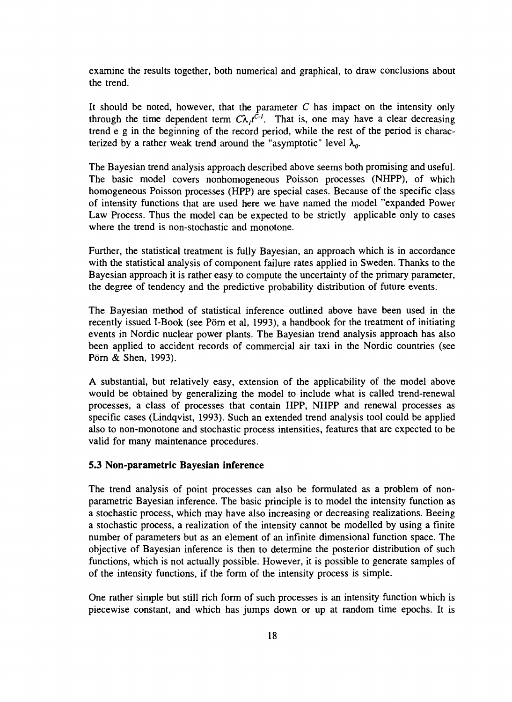examine the results together, both numerical and graphical, to draw conclusions about the trend.

It should be noted, however, that the parameter *C* has impact on the intensity only through the time dependent term  $C\lambda_i t^{\bar{C}l}$ . That is, one may have a clear decreasing trend e g in the beginning of the record period, while the rest of the period is characterized by a rather weak trend around the "asymptotic" level  $\lambda_o$ .

The Bayesian trend analysis approach described above seems both promising and useful. The basic model covers nonhomogeneous Poisson processes (NHPP), of which homogeneous Poisson processes (HPP) are special cases. Because of the specific class of intensity functions that are used here we have named the model "expanded Power Law Process. Thus the model can be expected to be strictly applicable only to cases where the trend is non-stochastic and monotone.

Further, the statistical treatment is fully Bayesian, an approach which is in accordance with the statistical analysis of component failure rates applied in Sweden. Thanks to the Bayesian approach it is rather easy to compute the uncertainty of the primary parameter, the degree of tendency and the predictive probability distribution of future events.

The Bayesian method of statistical inference outlined above have been used in the recently issued I-Book (see Pörn et al, 1993), a handbook for the treatment of initiating events in Nordic nuclear power plants. The Bayesian trend analysis approach has also been applied to accident records of commercial air taxi in the Nordic countries (see Pörn & Shen, 1993).

A substantial, but relatively easy, extension of the applicability of the model above would be obtained by generalizing the model to include what is called trend-renewal processes, a class of processes that contain HPP, NHPP and renewal processes as specific cases (Lindqvist, 1993). Such an extended trend analysis tool could be applied also to non-monotone and stochastic process intensities, features that are expected to be valid for many maintenance procedures.

#### **5.3 Non-parametric Bayesian inference**

The trend analysis of point processes can also be formulated as a problem of nonparametric Bayesian inference. The basic principle is to model the intensity function as a stochastic process, which may have also increasing or decreasing realizations. Beeing a stochastic process, a realization of the intensity cannot be modelled by using a finite number of parameters but as an element of an infinite dimensional function space. The objective of Bayesian inference is then to determine the posterior distribution of such functions, which is not actually possible. However, it is possible to generate samples of of the intensity functions, if the form of the intensity process is simple.

One rather simple but still rich form of such processes is an intensity function which is piecewise constant, and which has jumps down or up at random time epochs. It is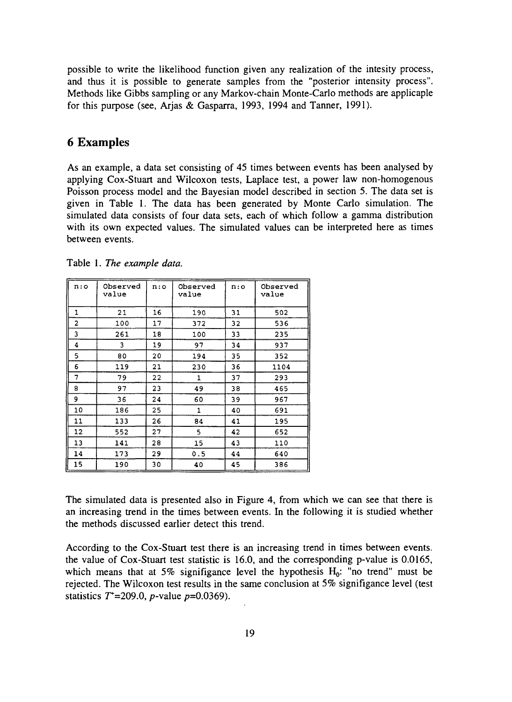possible to write the likelihood function given any realization of the intesity process, and thus it is possible to generate samples from the "posterior intensity process". Methods like Gibbs sampling or any Markov-chain Monte-Carlo methods are applicaple for this purpose (see, Arjas & Gasparra, 1993, 1994 and Tanner, 1991).

### 6 Examples

As an example, a data set consisting of 45 times between events has been analysed by applying Cox-Stuart and Wilcoxon tests, Laplace test, a power law non-homogenous Poisson process model and the Bayesian model described in section 5. The data set is given in Table 1. The data has been generated by Monte Carlo simulation. The simulated data consists of four data sets, each of which follow a gamma distribution with its own expected values. The simulated values can be interpreted here as times between events.

| n:0            | Observed<br>value | n: | Observed<br>value | n:0 | Observed<br>value |
|----------------|-------------------|----|-------------------|-----|-------------------|
| $\mathbf{1}$   | 21                | 16 | 190               | 31  | 502               |
| $\overline{2}$ | 100               | 17 | 372               | 32  | 536               |
| 3              | 261               | 18 | 100               | 33  | 235               |
| 4              | 3                 | 19 | 97                | 34  | 937               |
| 5              | 80                | 20 | 194               | 35  | 352               |
| 6              | 119               | 21 | 230               | 36  | 1104              |
| 7              | 79                | 22 | $\mathbf{1}$      | 37  | 293               |
| 8              | 97                | 23 | 49                | 38  | 465               |
| 9              | 36                | 24 | 60                | 39  | 967               |
| 10             | 186               | 25 | $\mathbf{1}$      | 40  | 691               |
| 11             | 133               | 26 | 84                | 41  | 195               |
| 12             | 552               | 27 | 5                 | 42  | 652               |
| 13             | 141               | 28 | 15                | 43  | 110               |
| 14             | 173               | 29 | 0.5               | 44  | 640               |
| 15             | 190               | 30 | 40                | 45  | 386               |

Table 1. *The example data.*

The simulated data is presented also in Figure 4, from which we can see that there is an increasing trend in the times between events. In the following it is studied whether the methods discussed earlier detect this trend.

According to the Cox-Stuart test there is an increasing trend in times between events, the value of Cox-Stuart test statistic is 16.0, and the corresponding p-value is 0.0165, which means that at 5% signifigance level the hypothesis  $H_0$ : "no trend" must be rejected. The Wilcoxon test results in the same conclusion at 5% signifigance level (test statistics  $T^* = 209.0$ , *p*-value *p*=0.0369).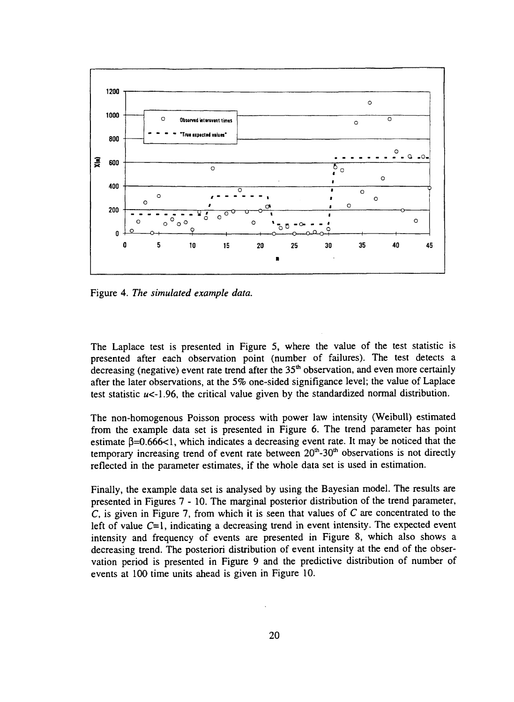

Figure 4. *The simulated example data.*

The Laplace test is presented in Figure 5, where the value of the test statistic is presented after each observation point (number of failures). The test detects a decreasing (negative) event rate trend after the 35<sup>th</sup> observation, and even more certainly after the later observations, at the 5% one-sided signifigance level; the value of Laplace test statistic  $u < -1.96$ , the critical value given by the standardized normal distribution.

The non-homogenous Poisson process with power law intensity (Weibull) estimated from the example data set is presented in Figure 6. The trend parameter has point estimate  $\beta = 0.666 < 1$ , which indicates a decreasing event rate. It may be noticed that the temporary increasing trend of event rate between  $20<sup>th</sup>$ -30<sup>th</sup> observations is not directly reflected in the parameter estimates, if the whole data set is used in estimation.

Finally, the example data set is analysed by using the Bayesian model. The results are presented in Figures 7-10 . The marginal posterior distribution of the trend parameter, *C,* is given in Figure 7, from which it is seen that values of C are concentrated to the left of value  $C=1$ , indicating a decreasing trend in event intensity. The expected event intensity and frequency of events are presented in Figure 8, which also shows a decreasing trend. The posteriori distribution of event intensity at the end of the observation period is presented in Figure 9 and the predictive distribution of number of events at 100 time units ahead is given in Figure 10.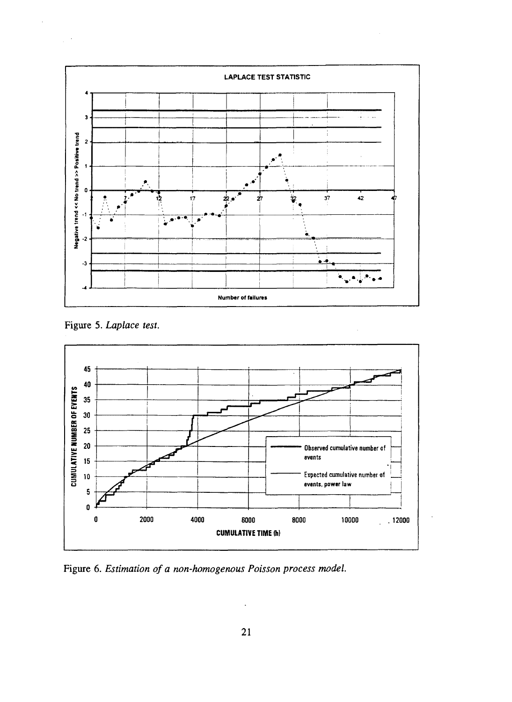

Figure 5. *Laplace test.*



Figure 6. *Estimation of a non-homogenous Poisson process model.*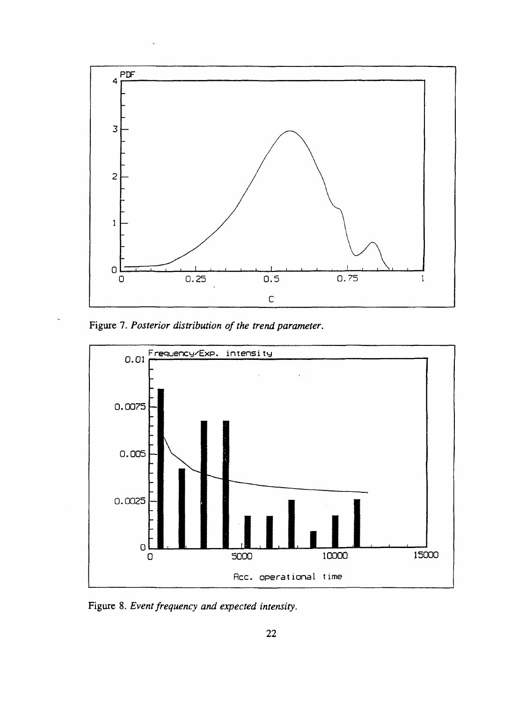

Figure 7. *Posterior distribution of the trend parameter.*



Figure 8. *Event frequency and expected intensity.*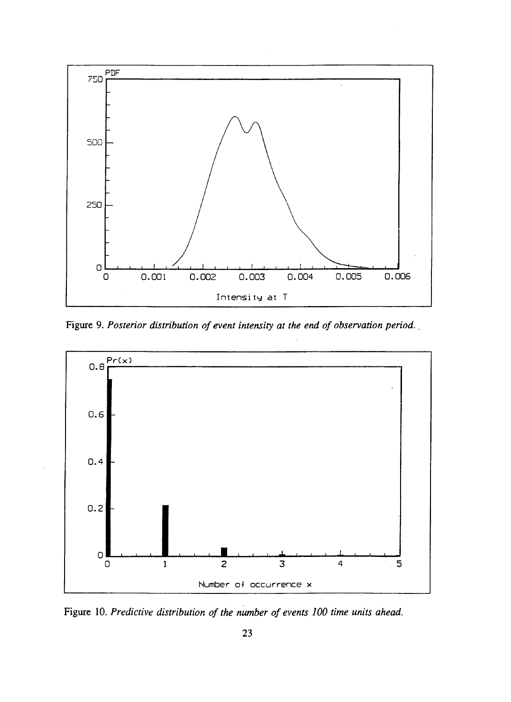

Figure 9. *Posterior distribution of event intensity at the end of observation period.*



Figure 10. *Predictive distribution of the number of events 100 time units ahead.*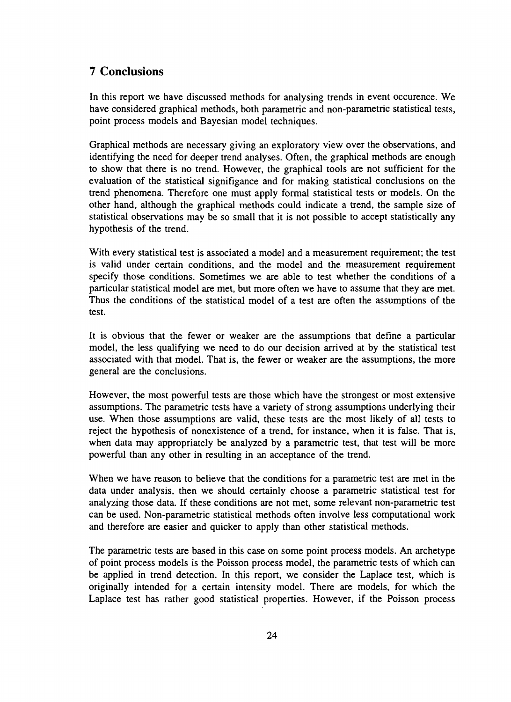## 7 Conclusions

In this report we have discussed methods for analysing trends in event occurence. We have considered graphical methods, both parametric and non-parametric statistical tests, point process models and Bayesian model techniques.

Graphical methods are necessary giving an exploratory view over the observations, and identifying the need for deeper trend analyses. Often, the graphical methods are enough to show that there is no trend. However, the graphical tools are not sufficient for the evaluation of the statistical signifigance and for making statistical conclusions on the trend phenomena. Therefore one must apply formal statistical tests or models. On the other hand, although the graphical methods could indicate a trend, the sample size of statistical observations may be so small that it is not possible to accept statistically any hypothesis of the trend.

With every statistical test is associated a model and a measurement requirement; the test is valid under certain conditions, and the model and the measurement requirement specify those conditions. Sometimes we are able to test whether the conditions of a particular statistical model are met, but more often we have to assume that they are met. Thus the conditions of the statistical model of a test are often the assumptions of the test.

It is obvious that the fewer or weaker are the assumptions that define a particular model, the less qualifying we need to do our decision arrived at by the statistical test associated with that model. That is, the fewer or weaker are the assumptions, the more general are the conclusions.

However, the most powerful tests are those which have the strongest or most extensive assumptions. The parametric tests have a variety of strong assumptions underlying their use. When those assumptions are valid, these tests are the most likely of all tests to reject the hypothesis of nonexistence of a trend, for instance, when it is false. That is, when data may appropriately be analyzed by a parametric test, that test will be more powerful than any other in resulting in an acceptance of the trend.

When we have reason to believe that the conditions for a parametric test are met in the data under analysis, then we should certainly choose a parametric statistical test for analyzing those data. If these conditions are not met, some relevant non-parametric test can be used. Non-parametric statistical methods often involve less computational work and therefore are easier and quicker to apply than other statistical methods.

The parametric tests are based in this case on some point process models. An archetype of point process models is the Poisson process model, the parametric tests of which can be applied in trend detection. In this report, we consider the Laplace test, which is originally intended for a certain intensity model. There are models, for which the Laplace test has rather good statistical properties. However, if the Poisson process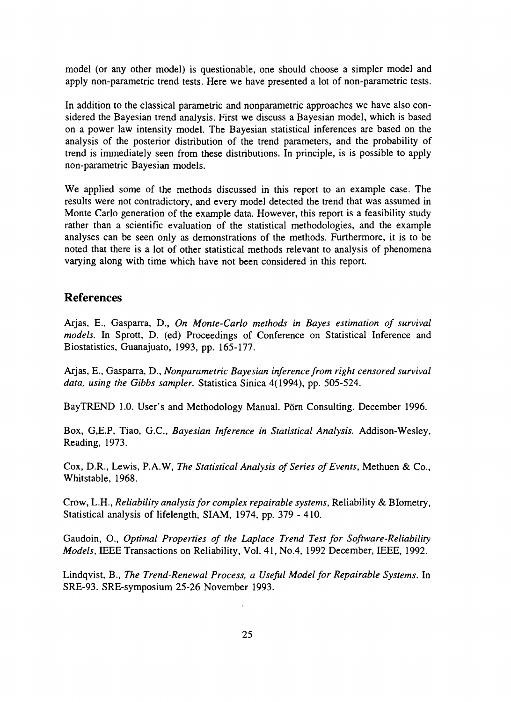model (or any other model) is questionable, one should choose a simpler model and apply non-parametric trend tests. Here we have presented a lot of non-parametric tests.

In addition to the classical parametric and nonparametric approaches we have also considered the Bayesian trend analysis. First we discuss a Bayesian model, which is based on a power law intensity model. The Bayesian statistical inferences are based on the analysis of the posterior distribution of the trend parameters, and the probability of trend is immediately seen from these distributions. In principle, is is possible to apply non-parametric Bayesian models.

We applied some of the methods discussed in this report to an example case. The results were not contradictory, and every model detected the trend that was assumed in Monte Carlo generation of the example data. However, this report is a feasibility study rather than a scientific evaluation of the statistical methodologies, and the example analyses can be seen only as demonstrations of the methods. Furthermore, it is to be noted that there is a lot of other statistical methods relevant to analysis of phenomena varying along with time which have not been considered in this report.

## References

Arjas, E., Gasparra, D., *On Monte-Carlo methods in Bayes estimation of survival models.* In Sprott, D. (ed) Proceedings of Conference on Statistical Inference and Biostatistics, Guanajuato, 1993, pp. 165-177.

Arjas, E., Gasparra, D., *Nonparametric Bayesian inference from right censored survival data, using the Gibbs sampler.* Statistica Sinica 4(1994), pp. 505-524.

Bay TREND 1.0. User's and Methodology Manual. Pörn Consulting. December 1996.

Box, G,E.P, Tiao, G.C., *Bayesian Inference in Statistical Analysis.* Addison-Wesley, Reading, 1973.

Cox, D.R., Lewis, P.A.W, *The Statistical Analysis of Series of Events,* Methuen & Co., Whitstable, 1968.

Crow, L.H., *Reliability analysis for complex repairable systems,* Reliability & Biometry, Statistical analysis of lifelength, SIAM, 1974, pp. 379 - 410.

Gaudoin, O., *Optimal Properties of the Laplace Trend Test for Software-Reliability Models,* IEEE Transactions on Reliability, Vol. 41, No.4, 1992 December, IEEE, 1992.

Lindqvist, B., *The Trend-Renewal Process, a Useful Model for Repairable Systems.* In SRE-93. SRE-symposium 25-26 November 1993.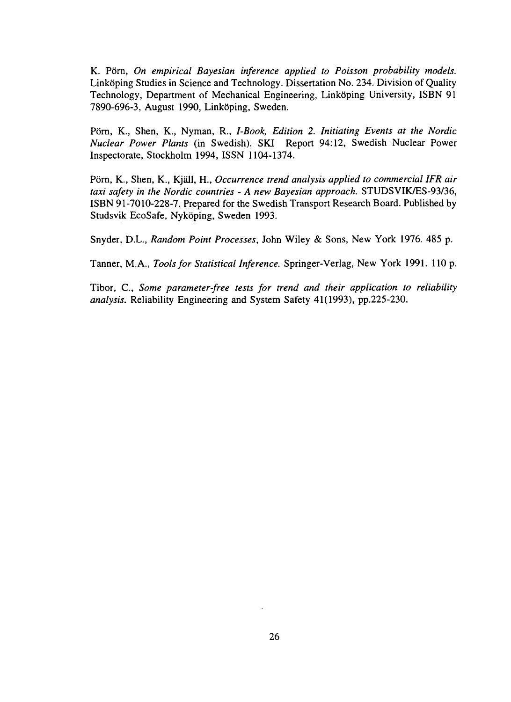K. Porn, *On empirical Bayesian inference applied to Poisson probability models.* Linköping Studies in Science and Technology. Dissertation No. 234. Division of Quality Technology, Department of Mechanical Engineering, Linkoping University, ISBN 91 7890-696-3, August 1990, Linkoping, Sweden.

Porn, K., Shen, K., Nyman, R., *I-Book, Edition 2. Initiating Events at the Nordic Nuclear Power Plants* (in Swedish). SKI Report 94:12, Swedish Nuclear Power Inspectorate, Stockholm 1994, ISSN 1104-1374.

Porn, K., Shen, K., Kjall, H., *Occurrence trend analysis applied to commercial IFR air taxi safety in the Nordic countries* - *A new Bayesian approach.* STUDSVIK/ES-93/36, ISBN 91-7010-228-7. Prepared for the Swedish Transport Research Board. Published by Studsvik EcoSafe, Nykoping, Sweden 1993.

Snyder, D.L., *Random Point Processes,* John Wiley & Sons, New York 1976. 485 p.

Tanner, M.A., *Tools for Statistical Inference.* Springer-Verlag, New York 1991. 110 p.

Tibor, C, *Some parameter-free tests for trend and their application to reliability analysis.* Reliability Engineering and System Safety 41(1993), pp.225-230.